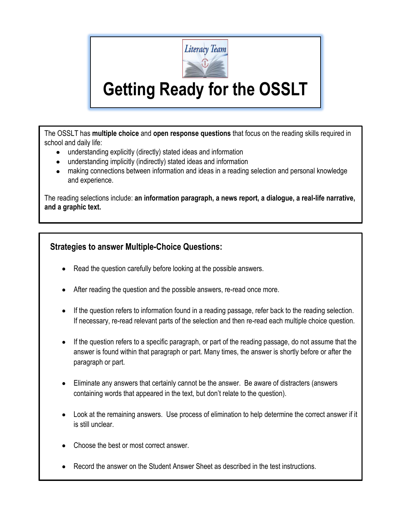

## **Getting Ready for the OSSLT**

The OSSLT has **multiple choice** and **open response questions** that focus on the reading skills required in school and daily life:

- understanding explicitly (directly) stated ideas and information
- understanding implicitly (indirectly) stated ideas and information
- making connections between information and ideas in a reading selection and personal knowledge and experience.

The reading selections include: **an information paragraph, a news report, a dialogue, a real-life narrative, and a graphic text.** 

## **Strategies to answer Multiple-Choice Questions:**

- Read the question carefully before looking at the possible answers.
- After reading the question and the possible answers, re-read once more.
- If the question refers to information found in a reading passage, refer back to the reading selection. If necessary, re-read relevant parts of the selection and then re-read each multiple choice question.
- If the question refers to a specific paragraph, or part of the reading passage, do not assume that the answer is found within that paragraph or part. Many times, the answer is shortly before or after the paragraph or part.
- Eliminate any answers that certainly cannot be the answer. Be aware of distracters (answers containing words that appeared in the text, but don't relate to the question).
- Look at the remaining answers. Use process of elimination to help determine the correct answer if it is still unclear.
- Choose the best or most correct answer.
- Record the answer on the Student Answer Sheet as described in the test instructions.